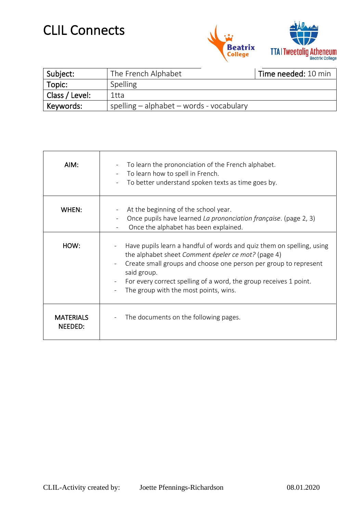## CLIL Connects



| Subject:       | The French Alphabet                          | Time needed: 10 min |
|----------------|----------------------------------------------|---------------------|
| Topic:         | Spelling                                     |                     |
| Class / Level: | 1tta                                         |                     |
| Keywords:      | spelling $-$ alphabet $-$ words - vocabulary |                     |

| AIM:                        | To learn the prononciation of the French alphabet.<br>To learn how to spell in French.<br>$\overline{\phantom{0}}$<br>To better understand spoken texts as time goes by.                                                                                                                                                     |
|-----------------------------|------------------------------------------------------------------------------------------------------------------------------------------------------------------------------------------------------------------------------------------------------------------------------------------------------------------------------|
| WHEN:                       | At the beginning of the school year.<br>Once pupils have learned La prononciation française. (page 2, 3)<br>Once the alphabet has been explained.                                                                                                                                                                            |
| HOW:                        | Have pupils learn a handful of words and quiz them on spelling, using<br>the alphabet sheet Comment épeler ce mot? (page 4)<br>Create small groups and choose one person per group to represent<br>said group.<br>For every correct spelling of a word, the group receives 1 point.<br>The group with the most points, wins. |
| <b>MATERIALS</b><br>NEEDED: | The documents on the following pages.                                                                                                                                                                                                                                                                                        |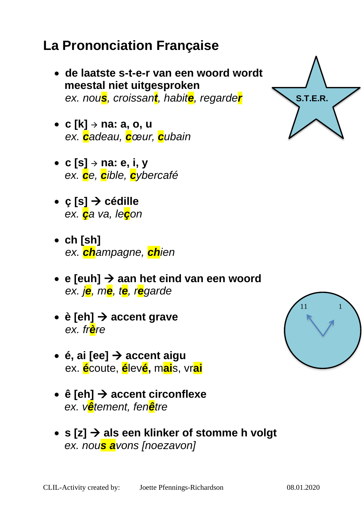## *ex. cadeau, cœur, cubain*

- **c [s]** <sup>→</sup> **na: e, i, y**  *ex. ce, cible, cybercafé*
- **ç [s]** → **cédille** *ex. ça va, leçon*

• **c [k]** <sup>→</sup> **na: a, o, u**

- **ch [sh]**  *ex. champagne, chien*
- **e [euh]** → **aan het eind van een woord** *ex. je, me, te, regarde*
- **è [eh]** → **accent grave** *ex. frère*
- **é, ai [ee]** → **accent aigu** ex. **é**coute, **é**lev**é,** m**ai**s, vr**ai**
- **ê [eh]** → **accent circonflexe**  *ex. vêtement, fenêtre*
- **s [z]** → **als een klinker of stomme h volgt**  *ex. nous avons [noezavon]*

## **La Prononciation Française**

 **meestal niet uitgesproken**

• **de laatste s-t-e-r van een woord wordt** 

*ex. nous, croissant, habite, regarder*

CLIL-Activity created by: Joette Pfennings-Richardson 08.01.2020

11 1

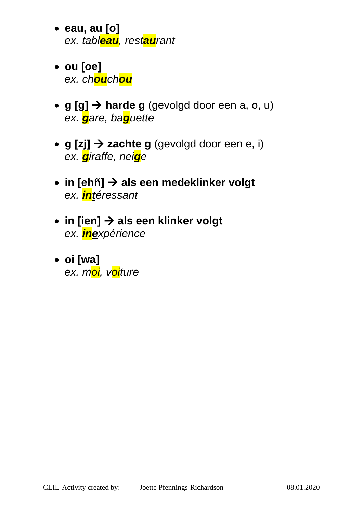- **eau, au [o]**  *ex. tableau, restaurant*
- **ou [oe]**  *ex. chouchou*
- **g [g]** → **harde g** (gevolgd door een a, o, u)  *ex. gare, baguette*
- **g [zj]** → **zachte g** (gevolgd door een e, i)  *ex. giraffe, neige*
- **in [ehñ]** → **als een medeklinker volgt**  *ex. intéressant*
- **in [ien]** → **als een klinker volgt**  *ex. inexpérience*
- **oi [wa]**   *ex. moi, voiture*